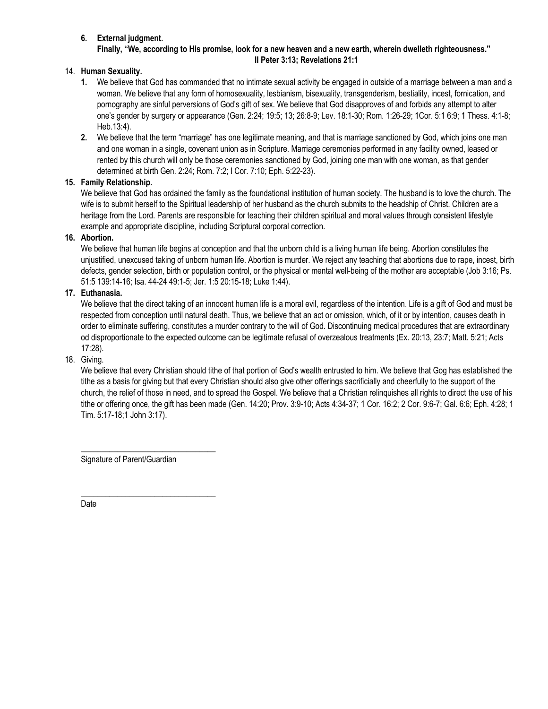# **6. External judgment.**

**Finally, "We, according to His promise, look for a new heaven and a new earth, wherein dwelleth righteousness." II Peter 3:13; Revelations 21:1**

# 14. **Human Sexuality.**

- **1.** We believe that God has commanded that no intimate sexual activity be engaged in outside of a marriage between a man and a woman. We believe that any form of homosexuality, lesbianism, bisexuality, transgenderism, bestiality, incest, fornication, and pornography are sinful perversions of God's gift of sex. We believe that God disapproves of and forbids any attempt to alter one's gender by surgery or appearance (Gen. 2:24; 19:5; 13; 26:8-9; Lev. 18:1-30; Rom. 1:26-29; 1Cor. 5:1 6:9; 1 Thess. 4:1-8; Heb.13:4).
- **2.** We believe that the term "marriage" has one legitimate meaning, and that is marriage sanctioned by God, which joins one man and one woman in a single, covenant union as in Scripture. Marriage ceremonies performed in any facility owned, leased or rented by this church will only be those ceremonies sanctioned by God, joining one man with one woman, as that gender determined at birth Gen. 2:24; Rom. 7:2; I Cor. 7:10; Eph. 5:22-23).

# **15. Family Relationship.**

We believe that God has ordained the family as the foundational institution of human society. The husband is to love the church. The wife is to submit herself to the Spiritual leadership of her husband as the church submits to the headship of Christ. Children are a heritage from the Lord. Parents are responsible for teaching their children spiritual and moral values through consistent lifestyle example and appropriate discipline, including Scriptural corporal correction.

# **16. Abortion.**

We believe that human life begins at conception and that the unborn child is a living human life being. Abortion constitutes the unjustified, unexcused taking of unborn human life. Abortion is murder. We reject any teaching that abortions due to rape, incest, birth defects, gender selection, birth or population control, or the physical or mental well-being of the mother are acceptable (Job 3:16; Ps. 51:5 139:14-16; Isa. 44-24 49:1-5; Jer. 1:5 20:15-18; Luke 1:44).

#### **17. Euthanasia.**

We believe that the direct taking of an innocent human life is a moral evil, regardless of the intention. Life is a gift of God and must be respected from conception until natural death. Thus, we believe that an act or omission, which, of it or by intention, causes death in order to eliminate suffering, constitutes a murder contrary to the will of God. Discontinuing medical procedures that are extraordinary od disproportionate to the expected outcome can be legitimate refusal of overzealous treatments (Ex. 20:13, 23:7; Matt. 5:21; Acts 17:28).

# 18. Giving.

We believe that every Christian should tithe of that portion of God's wealth entrusted to him. We believe that Gog has established the tithe as a basis for giving but that every Christian should also give other offerings sacrificially and cheerfully to the support of the church, the relief of those in need, and to spread the Gospel. We believe that a Christian relinquishes all rights to direct the use of his tithe or offering once, the gift has been made (Gen. 14:20; Prov. 3:9-10; Acts 4:34-37; 1 Cor. 16:2; 2 Cor. 9:6-7; Gal. 6:6; Eph. 4:28; 1 Tim. 5:17-18;1 John 3:17).

Signature of Parent/Guardian

\_\_\_\_\_\_\_\_\_\_\_\_\_\_\_\_\_\_\_\_\_\_\_\_\_\_\_\_\_\_\_\_\_

\_\_\_\_\_\_\_\_\_\_\_\_\_\_\_\_\_\_\_\_\_\_\_\_\_\_\_\_\_\_\_\_\_

Date